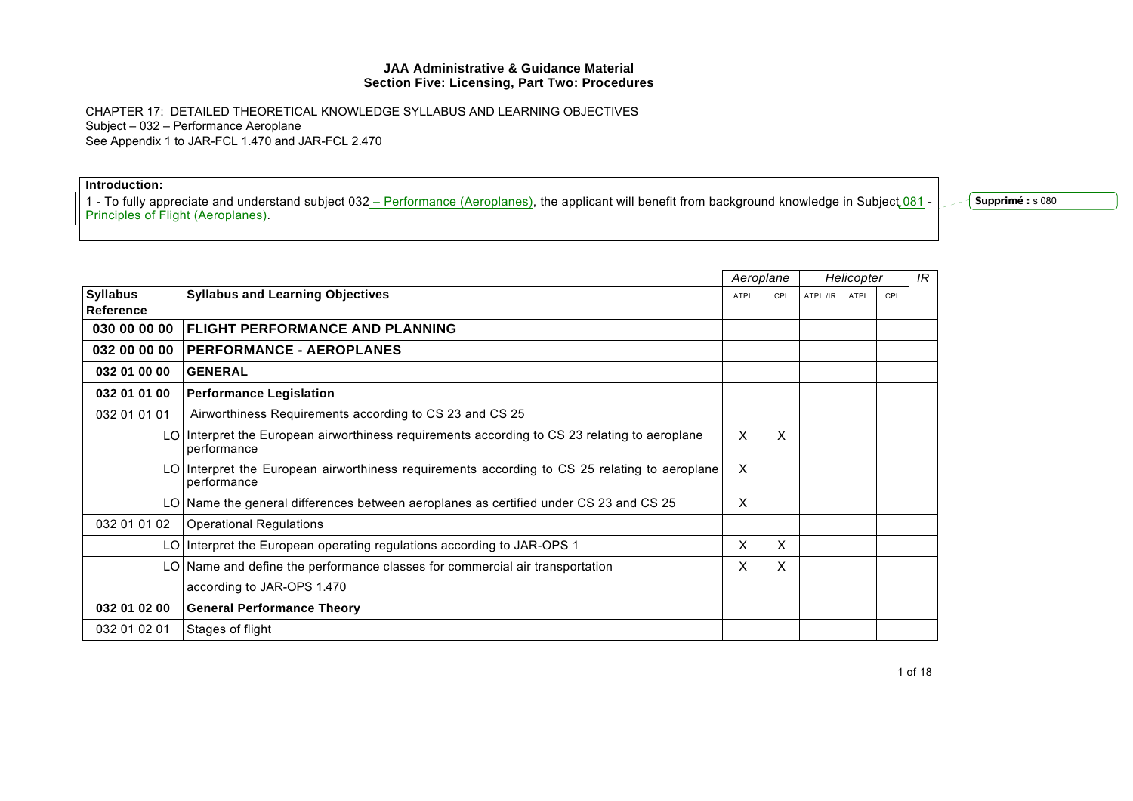CHAPTER 17: DETAILED THEORETICAL KNOWLEDGE SYLLABUS AND LEARNING OBJECTIVES Subject – 032 – Performance Aeroplane See Appendix 1 to JAR-FCL 1.470 and JAR-FCL 2.470

**Introduction:**  1 - To fully appreciate and understand subject 032 <u>– Performance (Aeroplanes),</u> the applicant will benefit from background knowledge in Subject 081 -Principles of Flight (Aeroplanes).

**Supprimé :** s 080

|                              |                                                                                                              | Aeroplane                 |     | Helicopter |      |     | IR |
|------------------------------|--------------------------------------------------------------------------------------------------------------|---------------------------|-----|------------|------|-----|----|
| <b>Syllabus</b><br>Reference | <b>Syllabus and Learning Objectives</b>                                                                      | <b>ATPL</b>               | CPL | ATPL /IR   | ATPL | CPL |    |
| 030 00 00 00                 | <b>FLIGHT PERFORMANCE AND PLANNING</b>                                                                       |                           |     |            |      |     |    |
| 032 00 00 00                 | <b>PERFORMANCE - AEROPLANES</b>                                                                              |                           |     |            |      |     |    |
| 032 01 00 00                 | <b>GENERAL</b>                                                                                               |                           |     |            |      |     |    |
| 032 01 01 00                 | <b>Performance Legislation</b>                                                                               |                           |     |            |      |     |    |
| 032 01 01 01                 | Airworthiness Requirements according to CS 23 and CS 25                                                      |                           |     |            |      |     |    |
|                              | LO Interpret the European airworthiness requirements according to CS 23 relating to aeroplane<br>performance | $\boldsymbol{\mathsf{X}}$ | X   |            |      |     |    |
|                              | LO Interpret the European airworthiness requirements according to CS 25 relating to aeroplane<br>performance | X                         |     |            |      |     |    |
|                              | LO Name the general differences between aeroplanes as certified under CS 23 and CS 25                        | $\boldsymbol{\mathsf{X}}$ |     |            |      |     |    |
| 032 01 01 02                 | <b>Operational Regulations</b>                                                                               |                           |     |            |      |     |    |
|                              | LO   Interpret the European operating regulations according to JAR-OPS 1                                     | X                         | X   |            |      |     |    |
|                              | LO Name and define the performance classes for commercial air transportation                                 | X                         | X   |            |      |     |    |
|                              | according to JAR-OPS 1.470                                                                                   |                           |     |            |      |     |    |
| 032 01 02 00                 | <b>General Performance Theory</b>                                                                            |                           |     |            |      |     |    |
| 032 01 02 01                 | Stages of flight                                                                                             |                           |     |            |      |     |    |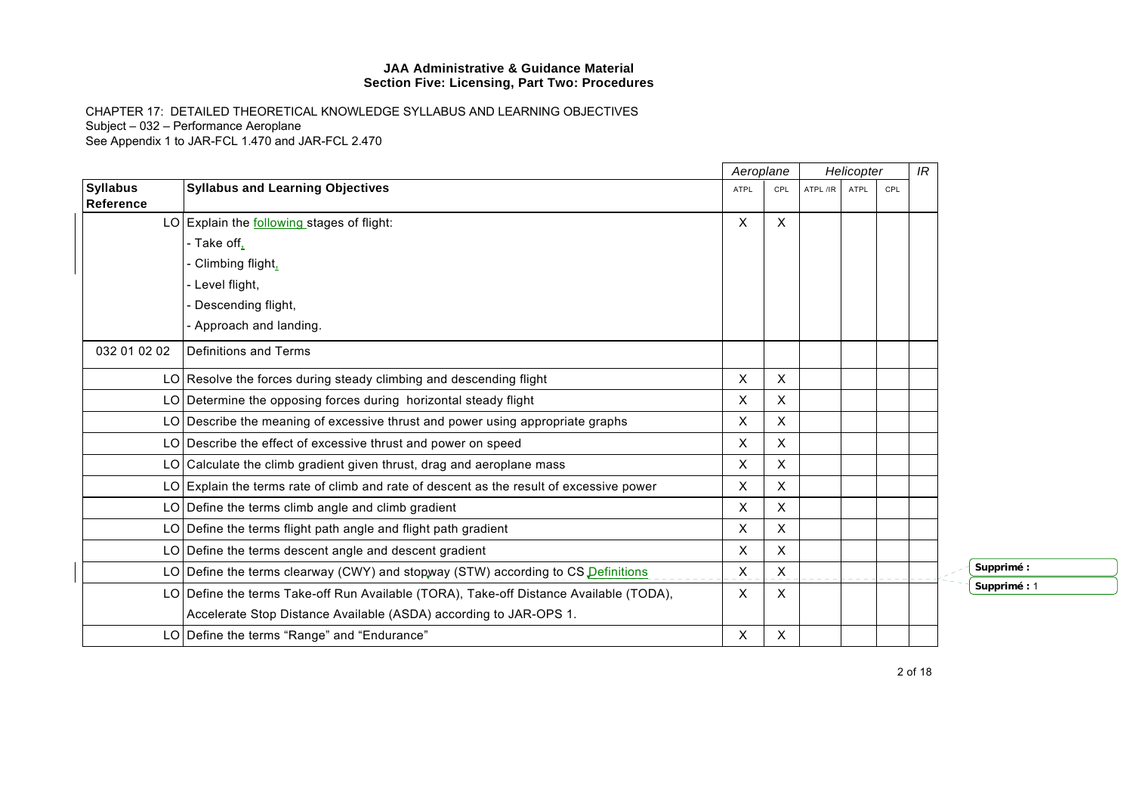CHAPTER 17: DETAILED THEORETICAL KNOWLEDGE SYLLABUS AND LEARNING OBJECTIVES Subject – 032 – Performance Aeroplane See Appendix 1 to JAR-FCL 1.470 and JAR-FCL 2.470

|                              |                                                                                         | Aeroplane   |                           |          | Helicopter |     | IR |
|------------------------------|-----------------------------------------------------------------------------------------|-------------|---------------------------|----------|------------|-----|----|
| <b>Syllabus</b><br>Reference | <b>Syllabus and Learning Objectives</b>                                                 | <b>ATPL</b> | CPL                       | ATPL /IR | ATPL       | CPL |    |
|                              | LO Explain the $following$ stages of flight:                                            | X           | X                         |          |            |     |    |
|                              | - Take off,                                                                             |             |                           |          |            |     |    |
|                              | Climbing flight,                                                                        |             |                           |          |            |     |    |
|                              | - Level flight,                                                                         |             |                           |          |            |     |    |
|                              | Descending flight,                                                                      |             |                           |          |            |     |    |
|                              | Approach and landing.                                                                   |             |                           |          |            |     |    |
| 032 01 02 02                 | Definitions and Terms                                                                   |             |                           |          |            |     |    |
|                              | LO Resolve the forces during steady climbing and descending flight                      | X           | X                         |          |            |     |    |
|                              | LO Determine the opposing forces during horizontal steady flight                        | X           | X                         |          |            |     |    |
|                              | LO Describe the meaning of excessive thrust and power using appropriate graphs          | X           | X                         |          |            |     |    |
|                              | LO Describe the effect of excessive thrust and power on speed                           | X           | X                         |          |            |     |    |
|                              | LO Calculate the climb gradient given thrust, drag and aeroplane mass                   | X           | X                         |          |            |     |    |
|                              | LO Explain the terms rate of climb and rate of descent as the result of excessive power | X           | $\boldsymbol{\mathsf{X}}$ |          |            |     |    |
|                              | LO Define the terms climb angle and climb gradient                                      | X           | X                         |          |            |     |    |
|                              | $LO$ Define the terms flight path angle and flight path gradient                        | X           | X                         |          |            |     |    |
|                              | LO Define the terms descent angle and descent gradient                                  | X           | $\boldsymbol{\mathsf{X}}$ |          |            |     |    |
|                              | LO Define the terms clearway (CWY) and stopway (STW) according to CS Definitions        | X           | X                         |          |            |     |    |
|                              | LO Define the terms Take-off Run Available (TORA), Take-off Distance Available (TODA),  | X           | X                         |          |            |     |    |
|                              | Accelerate Stop Distance Available (ASDA) according to JAR-OPS 1.                       |             |                           |          |            |     |    |
|                              | LO Define the terms "Range" and "Endurance"                                             | Χ           | X                         |          |            |     |    |

**Supprimé :** 

**Supprimé :** 1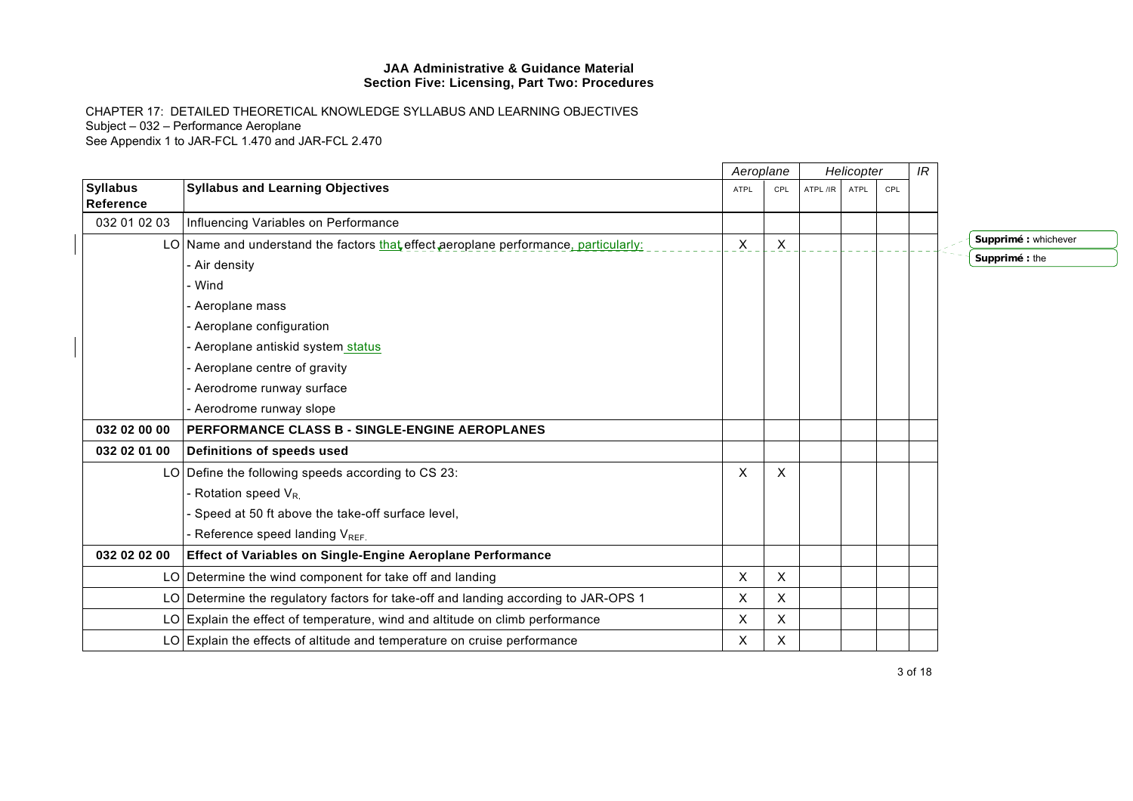|                              |                                                                                     | Aeroplane |              | Helicopter |             |     | IR |                      |
|------------------------------|-------------------------------------------------------------------------------------|-----------|--------------|------------|-------------|-----|----|----------------------|
| <b>Syllabus</b><br>Reference | <b>Syllabus and Learning Objectives</b>                                             | ATPL      | CPL          | ATPL /IR   | <b>ATPL</b> | CPL |    |                      |
| 032 01 02 03                 | Influencing Variables on Performance                                                |           |              |            |             |     |    |                      |
|                              | LO Name and understand the factors that effect aeroplane performance, particularly: | X         | $\mathsf{X}$ |            |             |     |    | Supprimé : whichever |
|                              | Air density                                                                         |           |              |            |             |     |    | Supprimé : the       |
|                              | - Wind                                                                              |           |              |            |             |     |    |                      |
|                              | Aeroplane mass                                                                      |           |              |            |             |     |    |                      |
|                              | Aeroplane configuration                                                             |           |              |            |             |     |    |                      |
|                              | Aeroplane antiskid system status                                                    |           |              |            |             |     |    |                      |
|                              | Aeroplane centre of gravity                                                         |           |              |            |             |     |    |                      |
|                              | Aerodrome runway surface                                                            |           |              |            |             |     |    |                      |
|                              | Aerodrome runway slope                                                              |           |              |            |             |     |    |                      |
| 032 02 00 00                 | PERFORMANCE CLASS B - SINGLE-ENGINE AEROPLANES                                      |           |              |            |             |     |    |                      |
| 032 02 01 00                 | Definitions of speeds used                                                          |           |              |            |             |     |    |                      |
|                              | LO Define the following speeds according to CS 23:                                  | X         | X            |            |             |     |    |                      |
|                              | Rotation speed V <sub>R.</sub>                                                      |           |              |            |             |     |    |                      |
|                              | Speed at 50 ft above the take-off surface level,                                    |           |              |            |             |     |    |                      |
|                              | - Reference speed landing V <sub>REF.</sub>                                         |           |              |            |             |     |    |                      |
| 032 02 02 00                 | Effect of Variables on Single-Engine Aeroplane Performance                          |           |              |            |             |     |    |                      |
|                              | LO Determine the wind component for take off and landing                            | X         | X            |            |             |     |    |                      |
|                              | LO Determine the regulatory factors for take-off and landing according to JAR-OPS 1 | X         | X            |            |             |     |    |                      |
|                              | LO Explain the effect of temperature, wind and altitude on climb performance        | X         | X            |            |             |     |    |                      |
|                              | $LO$ Explain the effects of altitude and temperature on cruise performance          | X         | X            |            |             |     |    |                      |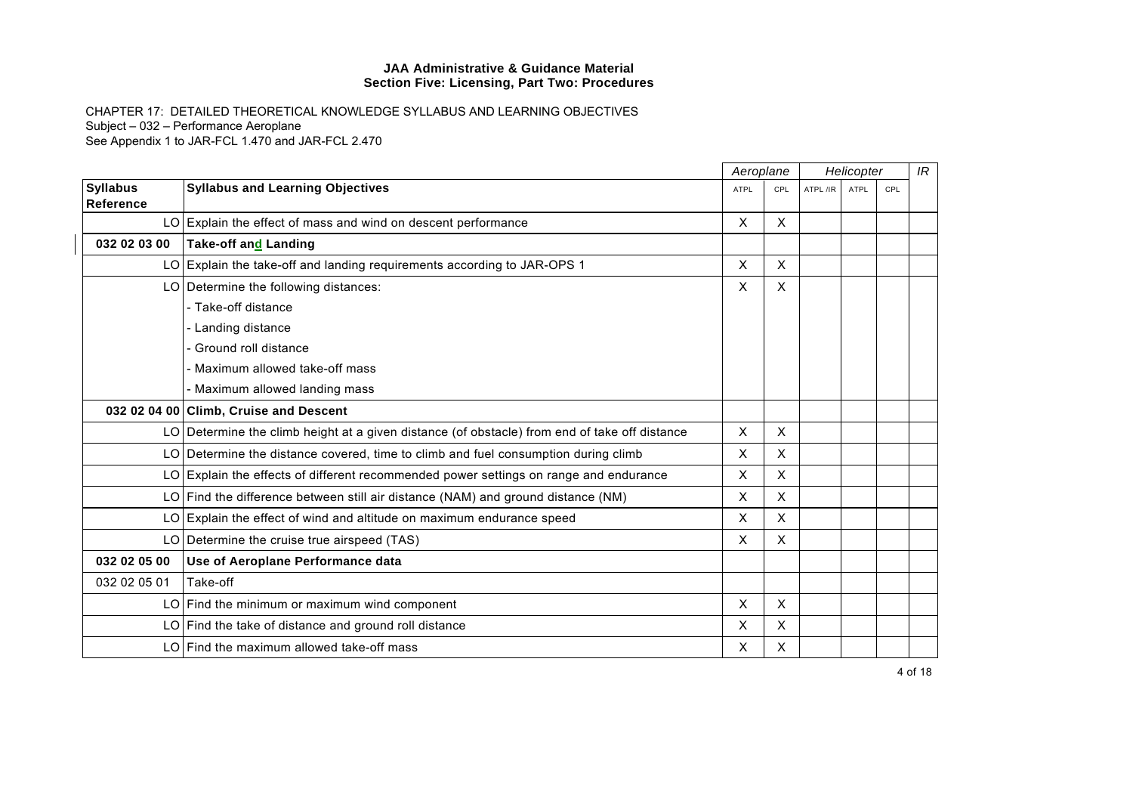|                                     |                                                                                               | Aeroplane                 |                           | Helicopter |      |     | IR |
|-------------------------------------|-----------------------------------------------------------------------------------------------|---------------------------|---------------------------|------------|------|-----|----|
| <b>Syllabus</b><br><b>Reference</b> | <b>Syllabus and Learning Objectives</b>                                                       | <b>ATPL</b>               | CPL                       | ATPL /IR   | ATPL | CPL |    |
|                                     | LO Explain the effect of mass and wind on descent performance                                 | X                         | X                         |            |      |     |    |
| 032 02 03 00                        | Take-off and Landing                                                                          |                           |                           |            |      |     |    |
|                                     | LO Explain the take-off and landing requirements according to JAR-OPS 1                       | X                         | X                         |            |      |     |    |
|                                     | LO Determine the following distances:                                                         | X                         | X                         |            |      |     |    |
|                                     | - Take-off distance                                                                           |                           |                           |            |      |     |    |
|                                     | - Landing distance                                                                            |                           |                           |            |      |     |    |
|                                     | Ground roll distance                                                                          |                           |                           |            |      |     |    |
|                                     | Maximum allowed take-off mass                                                                 |                           |                           |            |      |     |    |
|                                     | Maximum allowed landing mass                                                                  |                           |                           |            |      |     |    |
|                                     | 032 02 04 00 Climb, Cruise and Descent                                                        |                           |                           |            |      |     |    |
|                                     | LO Determine the climb height at a given distance (of obstacle) from end of take off distance | X                         | X                         |            |      |     |    |
|                                     | LO Determine the distance covered, time to climb and fuel consumption during climb            | X                         | X                         |            |      |     |    |
|                                     | LO Explain the effects of different recommended power settings on range and endurance         | X                         | $\sf X$                   |            |      |     |    |
|                                     | LO Find the difference between still air distance (NAM) and ground distance (NM)              | X                         | X                         |            |      |     |    |
|                                     | $LO$ Explain the effect of wind and altitude on maximum endurance speed                       | X                         | $\times$                  |            |      |     |    |
|                                     | LO Determine the cruise true airspeed (TAS)                                                   | X                         | X                         |            |      |     |    |
| 032 02 05 00                        | Use of Aeroplane Performance data                                                             |                           |                           |            |      |     |    |
| 032 02 05 01                        | Take-off                                                                                      |                           |                           |            |      |     |    |
|                                     | LO   Find the minimum or maximum wind component                                               | $\boldsymbol{\mathsf{X}}$ | $\boldsymbol{\mathsf{X}}$ |            |      |     |    |
|                                     | LO Find the take of distance and ground roll distance                                         | X                         | X                         |            |      |     |    |
|                                     | LO Find the maximum allowed take-off mass                                                     | X                         | X                         |            |      |     |    |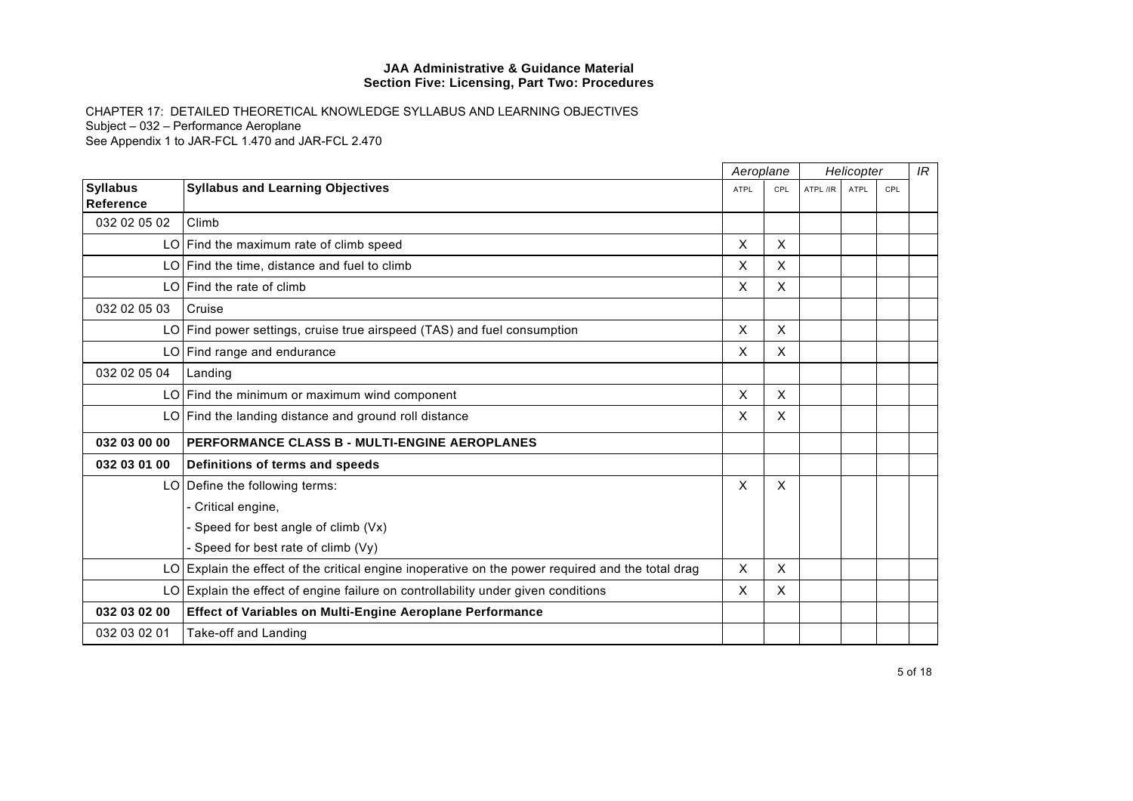|                              |                                                                                                   | Aeroplane   |                           | Helicopter |             |     | IR |
|------------------------------|---------------------------------------------------------------------------------------------------|-------------|---------------------------|------------|-------------|-----|----|
| <b>Syllabus</b><br>Reference | <b>Syllabus and Learning Objectives</b>                                                           | <b>ATPL</b> | CPL                       | ATPL /IR   | <b>ATPL</b> | CPL |    |
| 032 02 05 02                 | Climb                                                                                             |             |                           |            |             |     |    |
|                              | $LO$ Find the maximum rate of climb speed                                                         | X           | $\mathsf{X}$              |            |             |     |    |
|                              | $LO$ Find the time, distance and fuel to climb                                                    | X           | $\sf X$                   |            |             |     |    |
|                              | LO Find the rate of climb                                                                         | X           | X                         |            |             |     |    |
| 032 02 05 03                 | Cruise                                                                                            |             |                           |            |             |     |    |
|                              | LO Find power settings, cruise true airspeed (TAS) and fuel consumption                           | X           | $\boldsymbol{\mathsf{X}}$ |            |             |     |    |
|                              | LO Find range and endurance                                                                       | X           | X                         |            |             |     |    |
| 032 02 05 04                 | Landing                                                                                           |             |                           |            |             |     |    |
|                              | LO Find the minimum or maximum wind component                                                     | X           | X                         |            |             |     |    |
|                              | LO Find the landing distance and ground roll distance                                             | X           | X                         |            |             |     |    |
| 032 03 00 00                 | PERFORMANCE CLASS B - MULTI-ENGINE AEROPLANES                                                     |             |                           |            |             |     |    |
| 032 03 01 00                 | Definitions of terms and speeds                                                                   |             |                           |            |             |     |    |
|                              | LO Define the following terms:                                                                    | X           | X                         |            |             |     |    |
|                              | - Critical engine,                                                                                |             |                           |            |             |     |    |
|                              | - Speed for best angle of climb (Vx)                                                              |             |                           |            |             |     |    |
|                              | - Speed for best rate of climb (Vy)                                                               |             |                           |            |             |     |    |
|                              | LO Explain the effect of the critical engine inoperative on the power required and the total drag | X           | X                         |            |             |     |    |
|                              | $LO$ Explain the effect of engine failure on controllability under given conditions               | x           | X                         |            |             |     |    |
| 032 03 02 00                 | Effect of Variables on Multi-Engine Aeroplane Performance                                         |             |                           |            |             |     |    |
| 032 03 02 01                 | Take-off and Landing                                                                              |             |                           |            |             |     |    |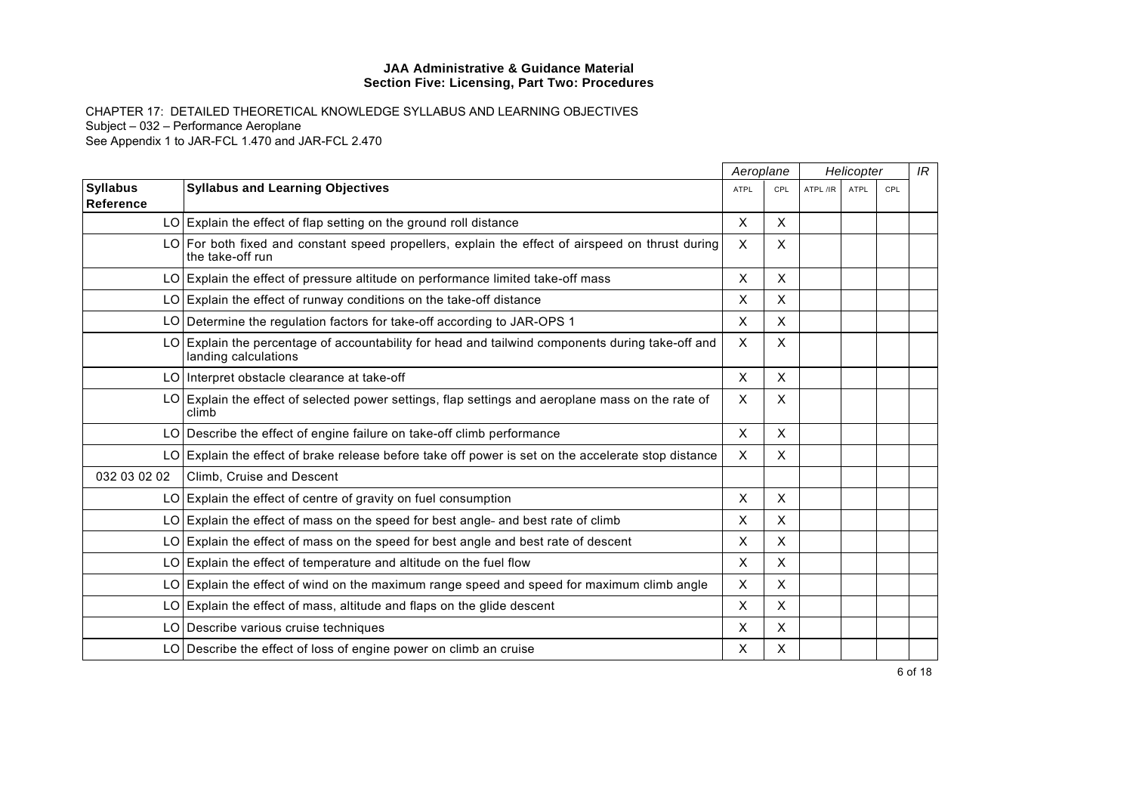|                              |                                                                                                                          |                           | Aeroplane    |          | Helicopter  |     |  | IR |
|------------------------------|--------------------------------------------------------------------------------------------------------------------------|---------------------------|--------------|----------|-------------|-----|--|----|
| <b>Syllabus</b><br>Reference | <b>Syllabus and Learning Objectives</b>                                                                                  | <b>ATPL</b>               | CPL          | ATPL /IR | <b>ATPL</b> | CPL |  |    |
|                              | LO Explain the effect of flap setting on the ground roll distance                                                        | X                         | $\mathsf{x}$ |          |             |     |  |    |
|                              | LO For both fixed and constant speed propellers, explain the effect of airspeed on thrust during<br>the take-off run     | $\boldsymbol{\mathsf{X}}$ | X            |          |             |     |  |    |
|                              | LO Explain the effect of pressure altitude on performance limited take-off mass                                          | X                         | X            |          |             |     |  |    |
|                              | $LO$ Explain the effect of runway conditions on the take-off distance                                                    | $\boldsymbol{\mathsf{X}}$ | X            |          |             |     |  |    |
|                              | LO Determine the regulation factors for take-off according to JAR-OPS 1                                                  | X                         | X            |          |             |     |  |    |
|                              | LO Explain the percentage of accountability for head and tailwind components during take-off and<br>landing calculations | $\times$                  | X            |          |             |     |  |    |
|                              | LO Interpret obstacle clearance at take-off                                                                              | $\mathsf{X}$              | X            |          |             |     |  |    |
|                              | LO Explain the effect of selected power settings, flap settings and aeroplane mass on the rate of<br>climb               | $\times$                  | X.           |          |             |     |  |    |
|                              | LO Describe the effect of engine failure on take-off climb performance                                                   | $\times$                  | $\mathsf{x}$ |          |             |     |  |    |
|                              | LO Explain the effect of brake release before take off power is set on the accelerate stop distance                      | $\times$                  | X            |          |             |     |  |    |
| 032 03 02 02                 | Climb, Cruise and Descent                                                                                                |                           |              |          |             |     |  |    |
|                              | $LO$ Explain the effect of centre of gravity on fuel consumption                                                         | X                         | X            |          |             |     |  |    |
|                              | LO Explain the effect of mass on the speed for best angle- and best rate of climb                                        | X                         | X            |          |             |     |  |    |
|                              | LO Explain the effect of mass on the speed for best angle and best rate of descent                                       | $\boldsymbol{\mathsf{X}}$ | X            |          |             |     |  |    |
|                              | LO Explain the effect of temperature and altitude on the fuel flow                                                       | X                         | $\mathsf{x}$ |          |             |     |  |    |
|                              | LO Explain the effect of wind on the maximum range speed and speed for maximum climb angle                               | $\times$                  | X.           |          |             |     |  |    |
|                              | $LO$ Explain the effect of mass, altitude and flaps on the glide descent                                                 | $\times$                  | X            |          |             |     |  |    |
|                              | LO Describe various cruise techniques                                                                                    | X                         | X            |          |             |     |  |    |
|                              | LO Describe the effect of loss of engine power on climb an cruise                                                        | X                         | X            |          |             |     |  |    |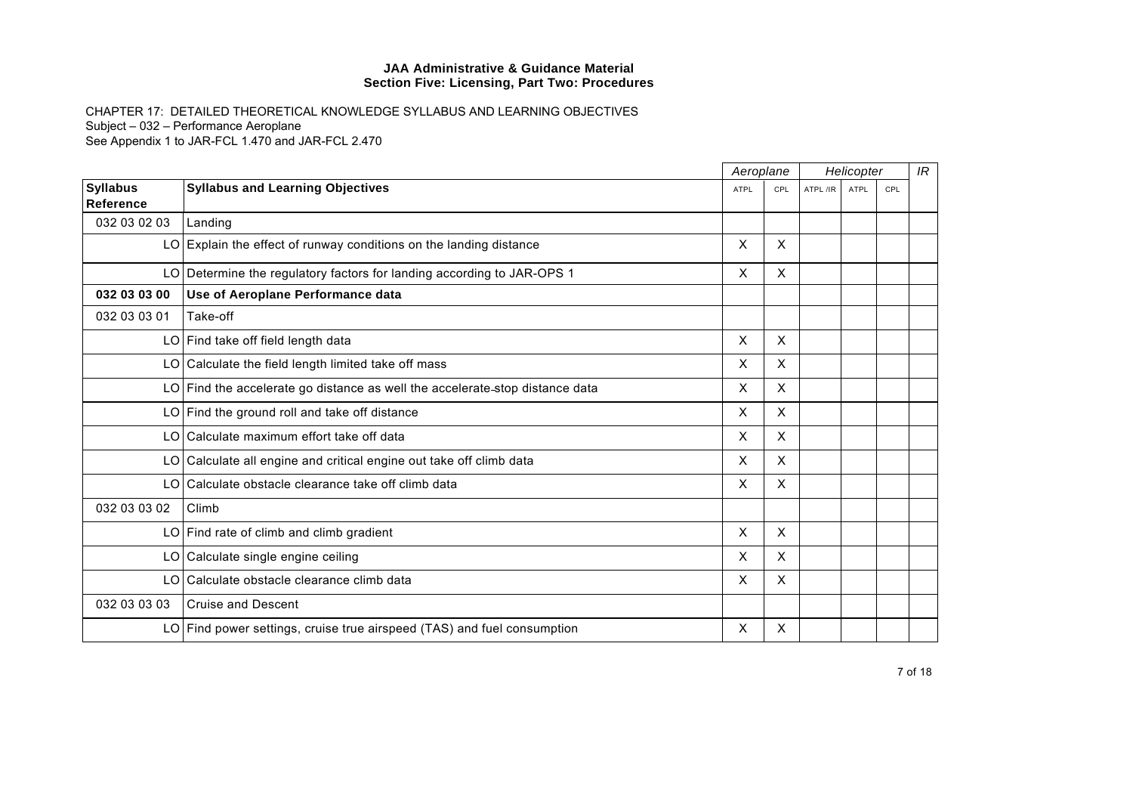|                              |                                                                              | Aeroplane   |                           | Helicopter |             |     | IR |
|------------------------------|------------------------------------------------------------------------------|-------------|---------------------------|------------|-------------|-----|----|
| <b>Syllabus</b><br>Reference | <b>Syllabus and Learning Objectives</b>                                      | <b>ATPL</b> | CPL                       | ATPL /IR   | <b>ATPL</b> | CPL |    |
| 032 03 02 03                 | Landing                                                                      |             |                           |            |             |     |    |
|                              | $LO$ Explain the effect of runway conditions on the landing distance         | X           | X                         |            |             |     |    |
|                              | LO Determine the regulatory factors for landing according to JAR-OPS 1       | X           | X                         |            |             |     |    |
| 032 03 03 00                 | Use of Aeroplane Performance data                                            |             |                           |            |             |     |    |
| 032 03 03 01                 | Take-off                                                                     |             |                           |            |             |     |    |
|                              | LO Find take off field length data                                           | X           | X                         |            |             |     |    |
|                              | LO Calculate the field length limited take off mass                          | X.          | X                         |            |             |     |    |
|                              | LO Find the accelerate go distance as well the accelerate-stop distance data | X           | X                         |            |             |     |    |
|                              | LO Find the ground roll and take off distance                                | X           | X                         |            |             |     |    |
|                              | LO Calculate maximum effort take off data                                    | X           | X                         |            |             |     |    |
|                              | LO Calculate all engine and critical engine out take off climb data          | X           | $\boldsymbol{\mathsf{X}}$ |            |             |     |    |
|                              | LO Calculate obstacle clearance take off climb data                          | X           | X                         |            |             |     |    |
| 032 03 03 02                 | Climb                                                                        |             |                           |            |             |     |    |
|                              | $LO$ Find rate of climb and climb gradient                                   | X           | X                         |            |             |     |    |
|                              | LO Calculate single engine ceiling                                           | $\times$    | X                         |            |             |     |    |
|                              | LO Calculate obstacle clearance climb data                                   | X           | X                         |            |             |     |    |
| 032 03 03 03                 | <b>Cruise and Descent</b>                                                    |             |                           |            |             |     |    |
|                              | LO Find power settings, cruise true airspeed (TAS) and fuel consumption      | X           | X                         |            |             |     |    |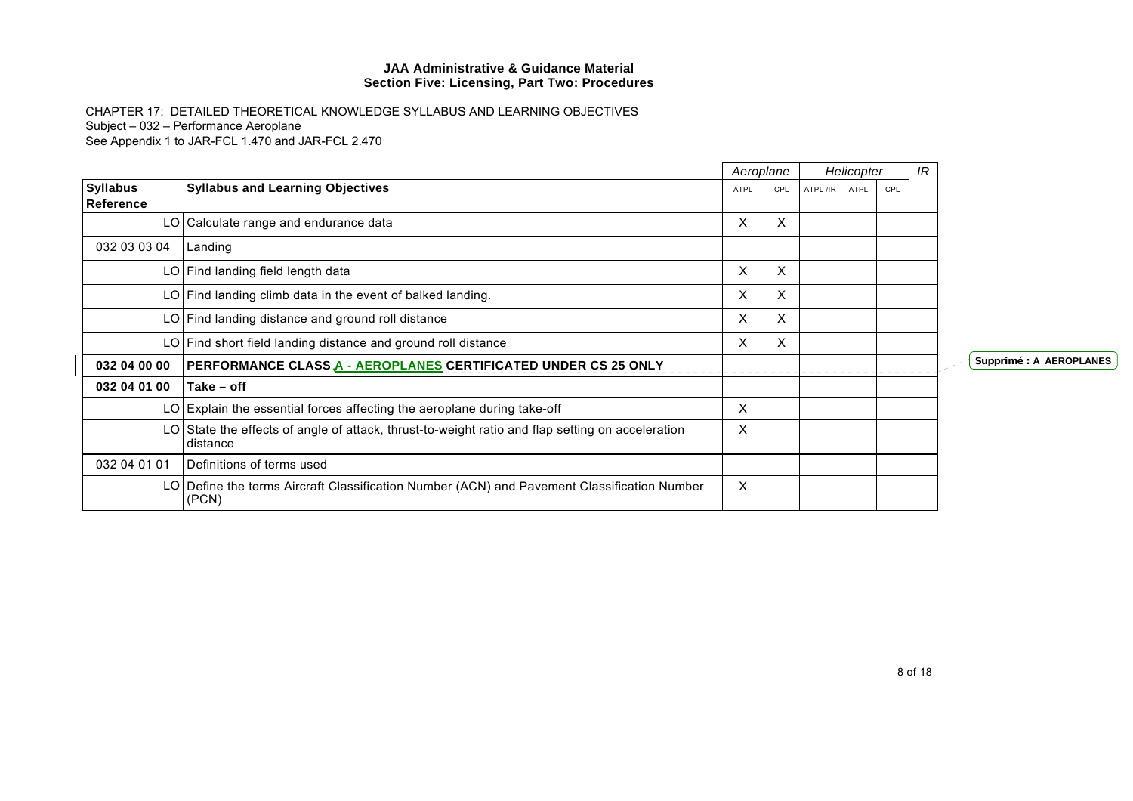|                              |                                                                                                              | Aeroplane |     |          | Helicopter |     | IR |                         |
|------------------------------|--------------------------------------------------------------------------------------------------------------|-----------|-----|----------|------------|-----|----|-------------------------|
| <b>Syllabus</b><br>Reference | <b>Syllabus and Learning Objectives</b>                                                                      | ATPL      | CPL | ATPL /IR | ATPL       | CPL |    |                         |
|                              | LO Calculate range and endurance data                                                                        | X         | X   |          |            |     |    |                         |
| 032 03 03 04                 | Landing                                                                                                      |           |     |          |            |     |    |                         |
|                              | LO Find landing field length data                                                                            | X         | X   |          |            |     |    |                         |
|                              | LO Find landing climb data in the event of balked landing.                                                   | X         | X   |          |            |     |    |                         |
|                              | LO Find landing distance and ground roll distance                                                            | X         | X   |          |            |     |    |                         |
|                              | LO Find short field landing distance and ground roll distance                                                | $\times$  | X.  |          |            |     |    |                         |
| 032 04 00 00                 | <b>PERFORMANCE CLASS A - AEROPLANES CERTIFICATED UNDER CS 25 ONLY</b>                                        |           |     |          |            |     |    | Supprimé : A AEROPLANES |
| 032 04 01 00                 | Take - off                                                                                                   |           |     |          |            |     |    |                         |
|                              | LO Explain the essential forces affecting the aeroplane during take-off                                      | X         |     |          |            |     |    |                         |
|                              | LO State the effects of angle of attack, thrust-to-weight ratio and flap setting on acceleration<br>distance | X         |     |          |            |     |    |                         |
| 032 04 01 01                 | Definitions of terms used                                                                                    |           |     |          |            |     |    |                         |
|                              | LO Define the terms Aircraft Classification Number (ACN) and Pavement Classification Number<br>(PCN)         | $\times$  |     |          |            |     |    |                         |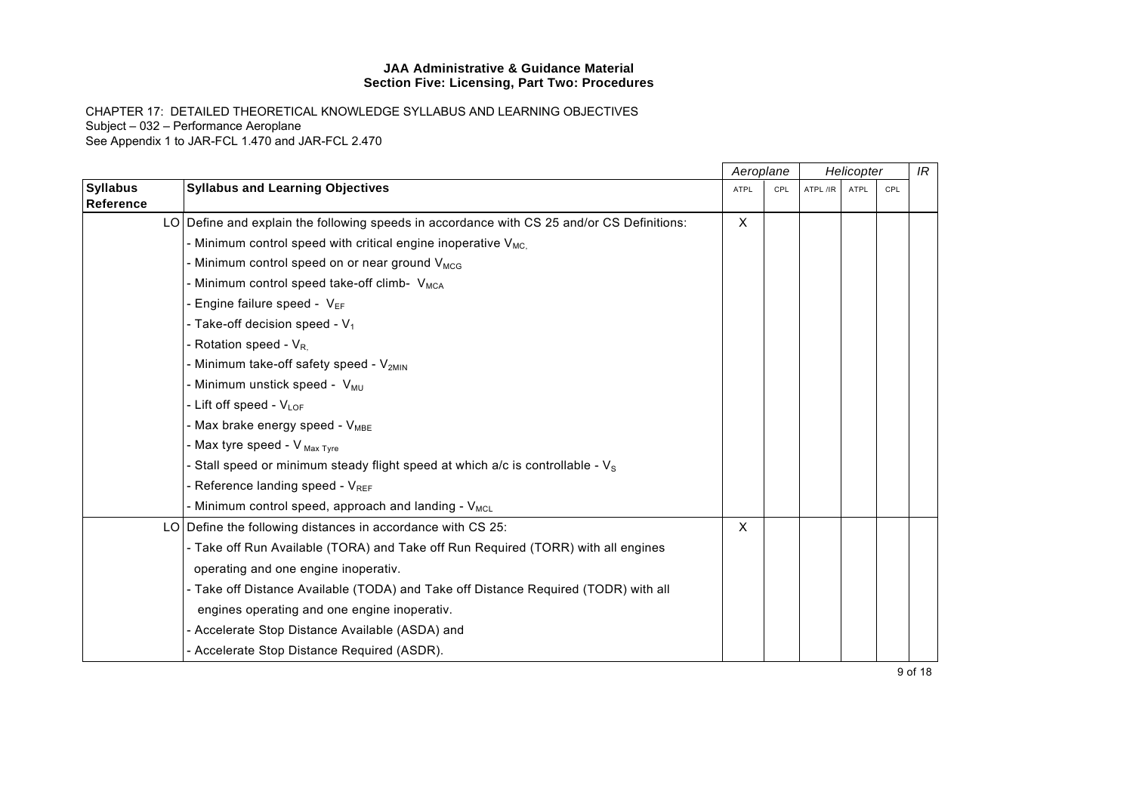|                              |                                                                                            |              | Aeroplane<br>Helicopter |          |      |     | IR |
|------------------------------|--------------------------------------------------------------------------------------------|--------------|-------------------------|----------|------|-----|----|
| <b>Syllabus</b><br>Reference | <b>Syllabus and Learning Objectives</b>                                                    | <b>ATPL</b>  | CPL                     | ATPL /IR | ATPL | CPL |    |
|                              | LO Define and explain the following speeds in accordance with CS 25 and/or CS Definitions: | $\mathsf{X}$ |                         |          |      |     |    |
|                              | - Minimum control speed with critical engine inoperative $V_{MC}$                          |              |                         |          |      |     |    |
|                              | - Minimum control speed on or near ground $V_{MCG}$                                        |              |                         |          |      |     |    |
|                              | - Minimum control speed take-off climb- V <sub>MCA</sub>                                   |              |                         |          |      |     |    |
|                              | Engine failure speed - $V_{EF}$                                                            |              |                         |          |      |     |    |
|                              | - Take-off decision speed - $V_1$                                                          |              |                         |          |      |     |    |
|                              | Rotation speed - V <sub>R.</sub>                                                           |              |                         |          |      |     |    |
|                              | - Minimum take-off safety speed - V <sub>2MIN</sub>                                        |              |                         |          |      |     |    |
|                              | - Minimum unstick speed - V <sub>MU</sub>                                                  |              |                         |          |      |     |    |
|                              | - Lift off speed - VLOF                                                                    |              |                         |          |      |     |    |
|                              | - Max brake energy speed - V <sub>MBE</sub>                                                |              |                         |          |      |     |    |
|                              | - Max tyre speed - V Max Tyre                                                              |              |                         |          |      |     |    |
|                              | - Stall speed or minimum steady flight speed at which a/c is controllable - $V_s$          |              |                         |          |      |     |    |
|                              | - Reference landing speed - V <sub>REF</sub>                                               |              |                         |          |      |     |    |
|                              | - Minimum control speed, approach and landing - V <sub>MCL</sub>                           |              |                         |          |      |     |    |
|                              | LO Define the following distances in accordance with CS 25:                                | X            |                         |          |      |     |    |
|                              | - Take off Run Available (TORA) and Take off Run Required (TORR) with all engines          |              |                         |          |      |     |    |
|                              | operating and one engine inoperativ.                                                       |              |                         |          |      |     |    |
|                              | - Take off Distance Available (TODA) and Take off Distance Required (TODR) with all        |              |                         |          |      |     |    |
|                              | engines operating and one engine inoperativ.                                               |              |                         |          |      |     |    |
|                              | - Accelerate Stop Distance Available (ASDA) and                                            |              |                         |          |      |     |    |
|                              | - Accelerate Stop Distance Required (ASDR).                                                |              |                         |          |      |     |    |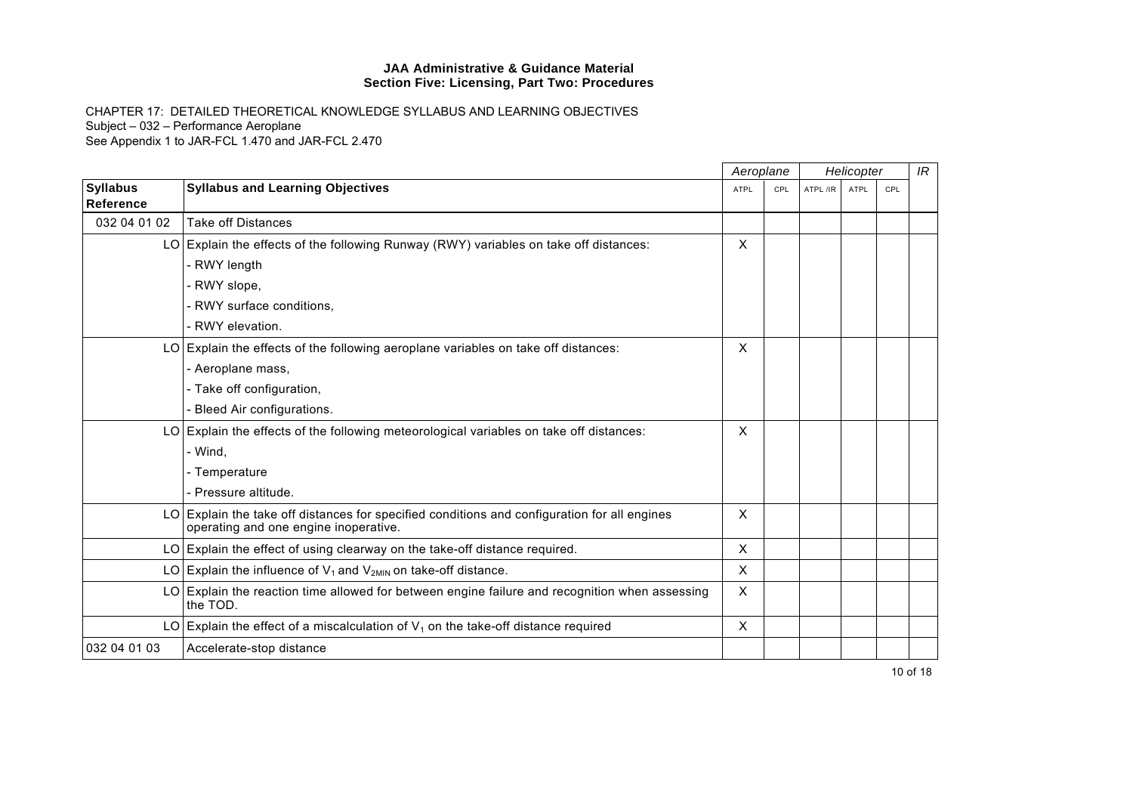|                              |                                                                                                                                       | Aeroplane<br>Helicopter |     |          | IR          |     |  |
|------------------------------|---------------------------------------------------------------------------------------------------------------------------------------|-------------------------|-----|----------|-------------|-----|--|
| <b>Syllabus</b><br>Reference | <b>Syllabus and Learning Objectives</b>                                                                                               | <b>ATPL</b>             | CPL | ATPL /IR | <b>ATPL</b> | CPL |  |
| 032 04 01 02                 | <b>Take off Distances</b>                                                                                                             |                         |     |          |             |     |  |
|                              | LO Explain the effects of the following Runway (RWY) variables on take off distances:                                                 | X                       |     |          |             |     |  |
|                              | - RWY length                                                                                                                          |                         |     |          |             |     |  |
|                              | - RWY slope,                                                                                                                          |                         |     |          |             |     |  |
|                              | - RWY surface conditions,                                                                                                             |                         |     |          |             |     |  |
|                              | - RWY elevation.                                                                                                                      |                         |     |          |             |     |  |
|                              | $LO$ Explain the effects of the following aeroplane variables on take off distances:                                                  | X                       |     |          |             |     |  |
|                              | - Aeroplane mass,                                                                                                                     |                         |     |          |             |     |  |
|                              | - Take off configuration,                                                                                                             |                         |     |          |             |     |  |
|                              | - Bleed Air configurations.                                                                                                           |                         |     |          |             |     |  |
|                              | LO Explain the effects of the following meteorological variables on take off distances:                                               | X                       |     |          |             |     |  |
|                              | - Wind,                                                                                                                               |                         |     |          |             |     |  |
|                              | - Temperature                                                                                                                         |                         |     |          |             |     |  |
|                              | - Pressure altitude.                                                                                                                  |                         |     |          |             |     |  |
|                              | LO Explain the take off distances for specified conditions and configuration for all engines<br>operating and one engine inoperative. | X                       |     |          |             |     |  |
|                              | LO Explain the effect of using clearway on the take-off distance required.                                                            | X                       |     |          |             |     |  |
|                              | LO Explain the influence of $V_1$ and $V_{2MIN}$ on take-off distance.                                                                | $\mathsf{x}$            |     |          |             |     |  |
|                              | LO Explain the reaction time allowed for between engine failure and recognition when assessing<br>the TOD.                            | X                       |     |          |             |     |  |
|                              | LO Explain the effect of a miscalculation of $V_1$ on the take-off distance required                                                  | X                       |     |          |             |     |  |
| 032 04 01 03                 | Accelerate-stop distance                                                                                                              |                         |     |          |             |     |  |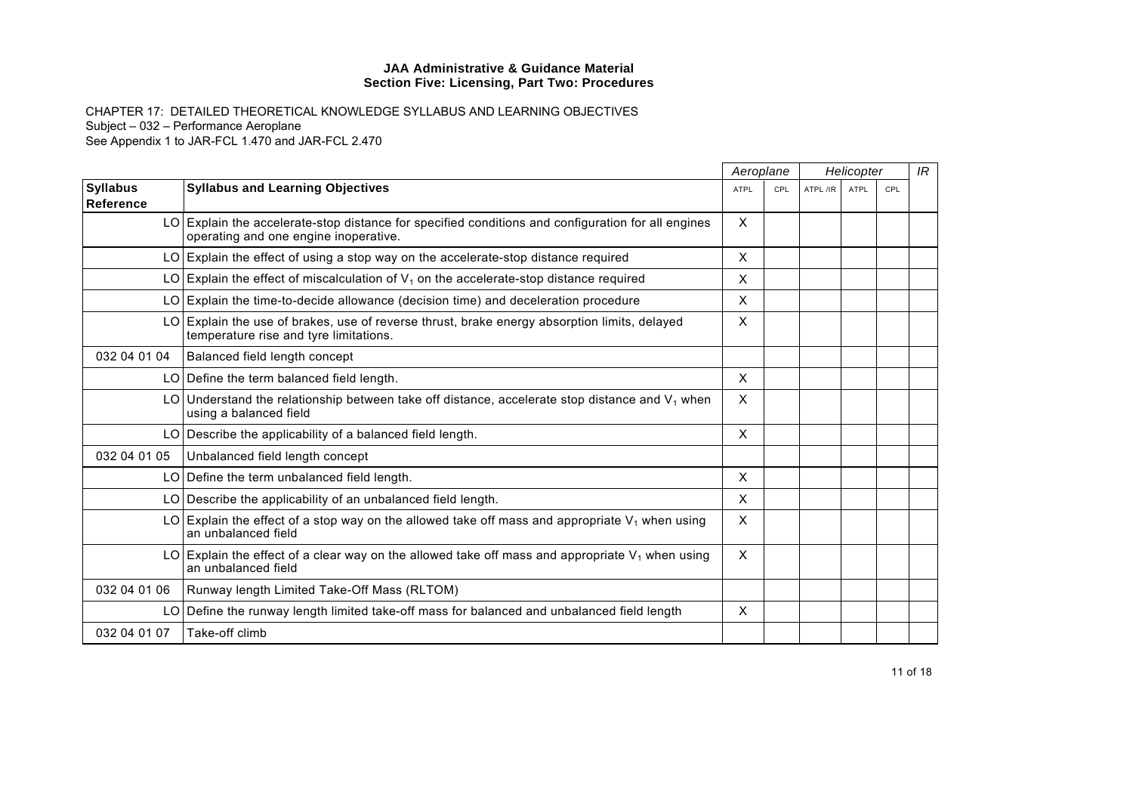|                                     |                                                                                                                                             |              | Aeroplane |          | Helicopter  |     |  | IR |
|-------------------------------------|---------------------------------------------------------------------------------------------------------------------------------------------|--------------|-----------|----------|-------------|-----|--|----|
| <b>Syllabus</b><br><b>Reference</b> | <b>Syllabus and Learning Objectives</b>                                                                                                     | <b>ATPL</b>  | CPL       | ATPL /IR | <b>ATPL</b> | CPL |  |    |
|                                     | LO Explain the accelerate-stop distance for specified conditions and configuration for all engines<br>operating and one engine inoperative. | $\times$     |           |          |             |     |  |    |
|                                     | $LO$ Explain the effect of using a stop way on the accelerate-stop distance required                                                        | X            |           |          |             |     |  |    |
|                                     | LO Explain the effect of miscalculation of $V_1$ on the accelerate-stop distance required                                                   | X            |           |          |             |     |  |    |
|                                     | $LO$ Explain the time-to-decide allowance (decision time) and deceleration procedure                                                        | X            |           |          |             |     |  |    |
|                                     | LO Explain the use of brakes, use of reverse thrust, brake energy absorption limits, delayed<br>temperature rise and tyre limitations.      | X            |           |          |             |     |  |    |
| 032 04 01 04                        | Balanced field length concept                                                                                                               |              |           |          |             |     |  |    |
|                                     | LO Define the term balanced field length.                                                                                                   | $\times$     |           |          |             |     |  |    |
|                                     | LO Understand the relationship between take off distance, accelerate stop distance and $V_1$ when<br>using a balanced field                 | $\times$     |           |          |             |     |  |    |
|                                     | LO Describe the applicability of a balanced field length.                                                                                   | $\mathsf{x}$ |           |          |             |     |  |    |
| 032 04 01 05                        | Unbalanced field length concept                                                                                                             |              |           |          |             |     |  |    |
|                                     | LO Define the term unbalanced field length.                                                                                                 | $\sf X$      |           |          |             |     |  |    |
|                                     | LO Describe the applicability of an unbalanced field length.                                                                                | X            |           |          |             |     |  |    |
|                                     | LO Explain the effect of a stop way on the allowed take off mass and appropriate $V_1$ when using<br>an unbalanced field                    | X            |           |          |             |     |  |    |
|                                     | LO Explain the effect of a clear way on the allowed take off mass and appropriate $V_1$ when using<br>an unbalanced field                   | $\mathsf{x}$ |           |          |             |     |  |    |
| 032 04 01 06                        | Runway length Limited Take-Off Mass (RLTOM)                                                                                                 |              |           |          |             |     |  |    |
|                                     | LO Define the runway length limited take-off mass for balanced and unbalanced field length                                                  | $\times$     |           |          |             |     |  |    |
| 032 04 01 07                        | Take-off climb                                                                                                                              |              |           |          |             |     |  |    |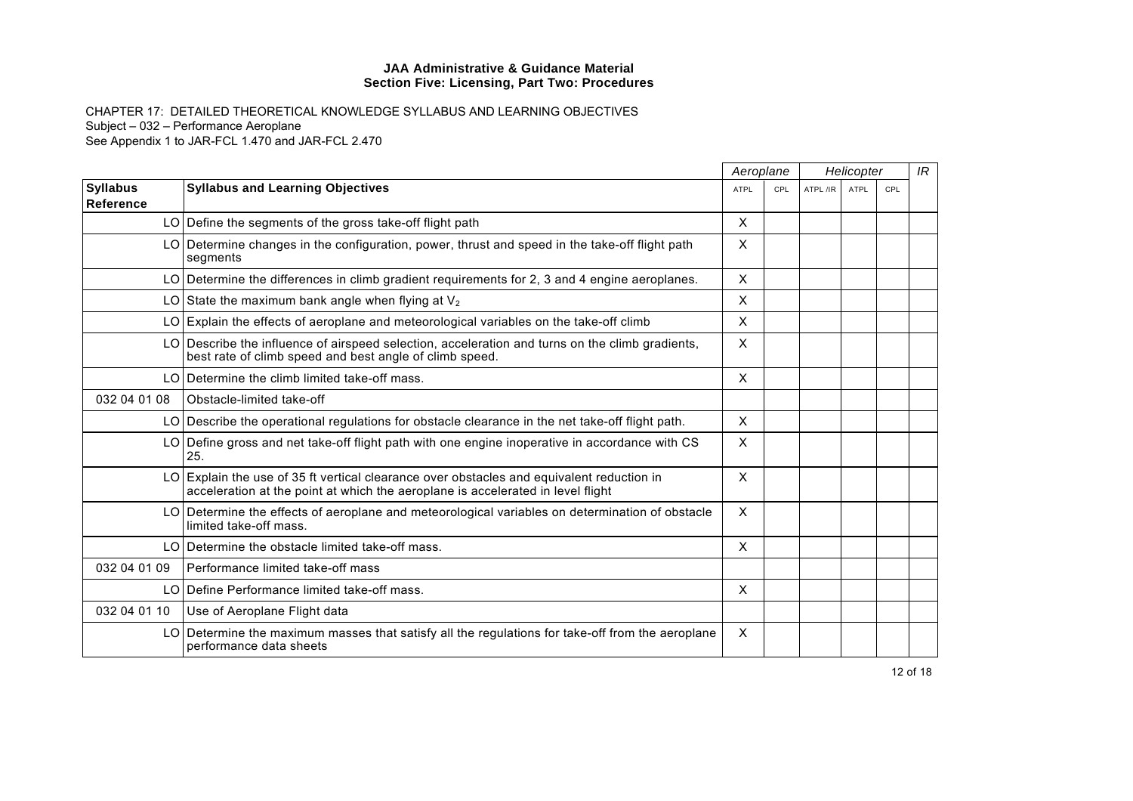|                              |                                                                                                                                                                              | Aeroplane                 |     | Helicopter |      |     | IR |
|------------------------------|------------------------------------------------------------------------------------------------------------------------------------------------------------------------------|---------------------------|-----|------------|------|-----|----|
| <b>Syllabus</b><br>Reference | <b>Syllabus and Learning Objectives</b>                                                                                                                                      | ATPL                      | CPL | ATPL /IR   | ATPL | CPL |    |
|                              | LO Define the segments of the gross take-off flight path                                                                                                                     | X                         |     |            |      |     |    |
|                              | LO Determine changes in the configuration, power, thrust and speed in the take-off flight path<br>segments                                                                   | X                         |     |            |      |     |    |
|                              | LO Determine the differences in climb gradient requirements for 2, 3 and 4 engine aeroplanes.                                                                                | $\times$                  |     |            |      |     |    |
|                              | LO State the maximum bank angle when flying at $V_2$                                                                                                                         | $\boldsymbol{\mathsf{x}}$ |     |            |      |     |    |
|                              | LO Explain the effects of aeroplane and meteorological variables on the take-off climb                                                                                       | X                         |     |            |      |     |    |
|                              | LO Describe the influence of airspeed selection, acceleration and turns on the climb gradients,<br>best rate of climb speed and best angle of climb speed.                   | $\boldsymbol{\mathsf{x}}$ |     |            |      |     |    |
|                              | LO Determine the climb limited take-off mass.                                                                                                                                | X                         |     |            |      |     |    |
| 032 04 01 08                 | Obstacle-limited take-off                                                                                                                                                    |                           |     |            |      |     |    |
|                              | LO Describe the operational regulations for obstacle clearance in the net take-off flight path.                                                                              | X                         |     |            |      |     |    |
|                              | LO Define gross and net take-off flight path with one engine inoperative in accordance with CS<br>25.                                                                        | X                         |     |            |      |     |    |
|                              | LO Explain the use of 35 ft vertical clearance over obstacles and equivalent reduction in<br>acceleration at the point at which the aeroplane is accelerated in level flight | X                         |     |            |      |     |    |
|                              | LO Determine the effects of aeroplane and meteorological variables on determination of obstacle<br>limited take-off mass.                                                    | X                         |     |            |      |     |    |
|                              | LO Determine the obstacle limited take-off mass.                                                                                                                             | $\times$                  |     |            |      |     |    |
| 032 04 01 09                 | Performance limited take-off mass                                                                                                                                            |                           |     |            |      |     |    |
|                              | LO IDefine Performance limited take-off mass.                                                                                                                                | $\times$                  |     |            |      |     |    |
| 032 04 01 10                 | Use of Aeroplane Flight data                                                                                                                                                 |                           |     |            |      |     |    |
|                              | LO Determine the maximum masses that satisfy all the regulations for take-off from the aeroplane<br>performance data sheets                                                  | X                         |     |            |      |     |    |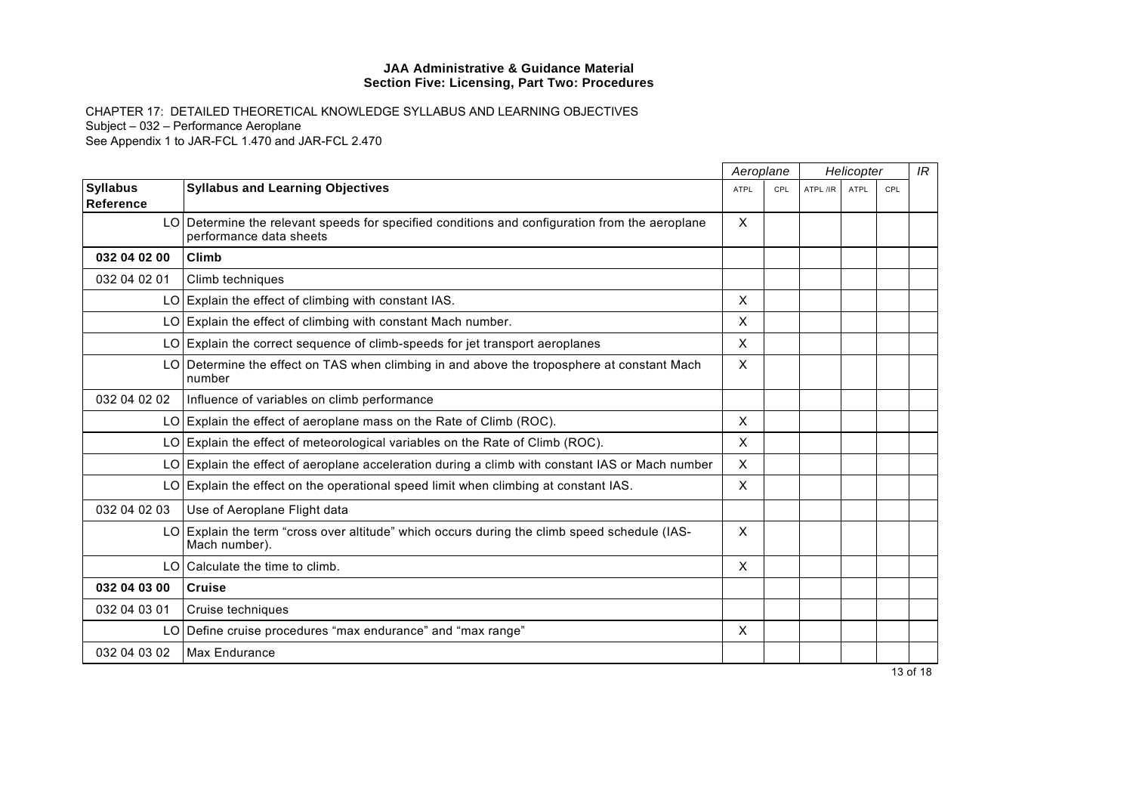|                              |                                                                                                                           | Aeroplane                 |     | Helicopter |      |     | IR |
|------------------------------|---------------------------------------------------------------------------------------------------------------------------|---------------------------|-----|------------|------|-----|----|
| <b>Syllabus</b><br>Reference | <b>Syllabus and Learning Objectives</b>                                                                                   | <b>ATPL</b>               | CPL | ATPL /IR   | ATPL | CPL |    |
|                              | LO Determine the relevant speeds for specified conditions and configuration from the aeroplane<br>performance data sheets | X                         |     |            |      |     |    |
| 032 04 02 00                 | <b>Climb</b>                                                                                                              |                           |     |            |      |     |    |
| 032 04 02 01                 | Climb techniques                                                                                                          |                           |     |            |      |     |    |
|                              | LO Explain the effect of climbing with constant IAS.                                                                      | X                         |     |            |      |     |    |
|                              | LO Explain the effect of climbing with constant Mach number.                                                              | $\sf X$                   |     |            |      |     |    |
|                              | LO Explain the correct sequence of climb-speeds for jet transport aeroplanes                                              | X                         |     |            |      |     |    |
|                              | LO   Determine the effect on TAS when climbing in and above the troposphere at constant Mach<br>number                    | $\times$                  |     |            |      |     |    |
| 032 04 02 02                 | Influence of variables on climb performance                                                                               |                           |     |            |      |     |    |
|                              | LO Explain the effect of aeroplane mass on the Rate of Climb (ROC).                                                       | X                         |     |            |      |     |    |
|                              | LO Explain the effect of meteorological variables on the Rate of Climb (ROC).                                             | X                         |     |            |      |     |    |
|                              | LO Explain the effect of aeroplane acceleration during a climb with constant IAS or Mach number                           | $\sf X$                   |     |            |      |     |    |
|                              | LO Explain the effect on the operational speed limit when climbing at constant IAS.                                       | $\times$                  |     |            |      |     |    |
| 032 04 02 03                 | Use of Aeroplane Flight data                                                                                              |                           |     |            |      |     |    |
|                              | LO Explain the term "cross over altitude" which occurs during the climb speed schedule (IAS-<br>Mach number).             | $\sf X$                   |     |            |      |     |    |
|                              | LO Calculate the time to climb.                                                                                           | $\boldsymbol{\mathsf{X}}$ |     |            |      |     |    |
| 032 04 03 00                 | <b>Cruise</b>                                                                                                             |                           |     |            |      |     |    |
| 032 04 03 01                 | Cruise techniques                                                                                                         |                           |     |            |      |     |    |
|                              | LO Define cruise procedures "max endurance" and "max range"                                                               | X                         |     |            |      |     |    |
| 032 04 03 02                 | Max Endurance                                                                                                             |                           |     |            |      |     |    |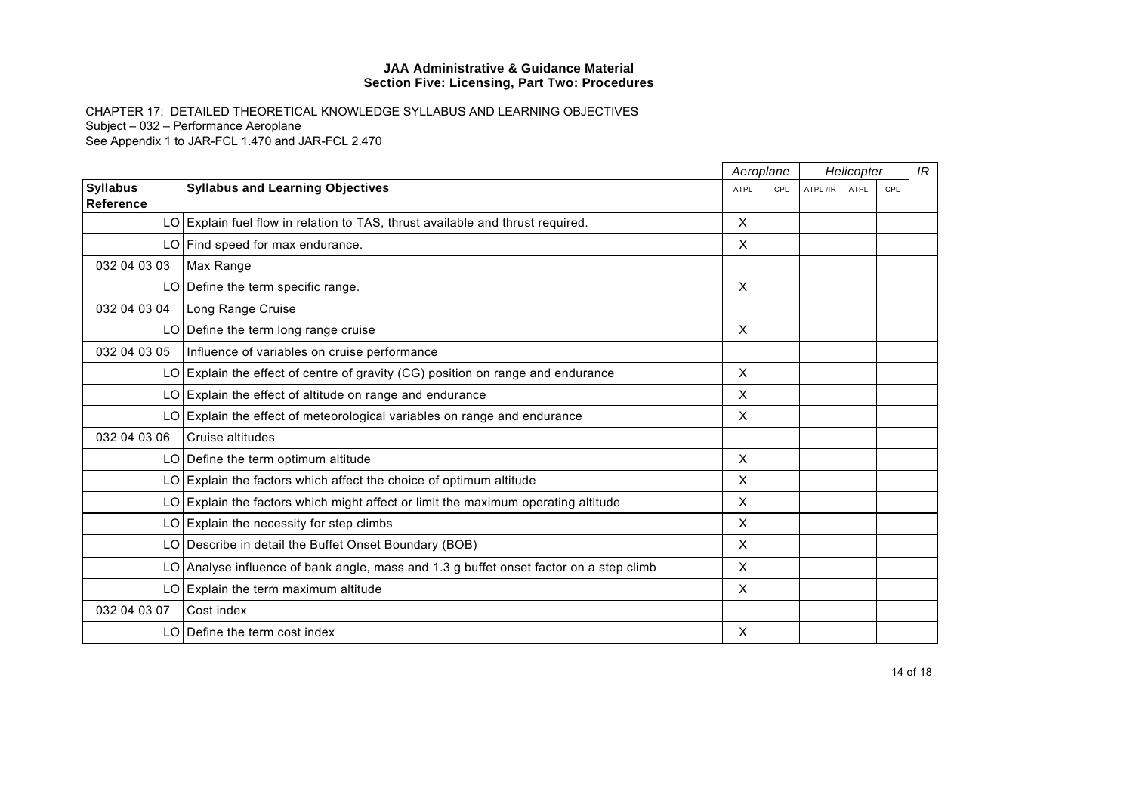|                 |                                                                                        |              | Aeroplane |          | Helicopter  |     | IR |
|-----------------|----------------------------------------------------------------------------------------|--------------|-----------|----------|-------------|-----|----|
| <b>Syllabus</b> | <b>Syllabus and Learning Objectives</b>                                                | <b>ATPL</b>  | CPL       | ATPL /IR | <b>ATPL</b> | CPL |    |
| Reference       |                                                                                        |              |           |          |             |     |    |
|                 | LO Explain fuel flow in relation to TAS, thrust available and thrust required.         | X            |           |          |             |     |    |
|                 | LO Find speed for max endurance.                                                       | X            |           |          |             |     |    |
| 032 04 03 03    | Max Range                                                                              |              |           |          |             |     |    |
|                 | LO Define the term specific range.                                                     | X            |           |          |             |     |    |
| 032 04 03 04    | Long Range Cruise                                                                      |              |           |          |             |     |    |
|                 | $LO$ Define the term long range cruise                                                 | X            |           |          |             |     |    |
| 032 04 03 05    | Influence of variables on cruise performance                                           |              |           |          |             |     |    |
|                 | $LO$ Explain the effect of centre of gravity (CG) position on range and endurance      | X            |           |          |             |     |    |
|                 | LO Explain the effect of altitude on range and endurance                               | X            |           |          |             |     |    |
|                 | LO Explain the effect of meteorological variables on range and endurance               | $\times$     |           |          |             |     |    |
| 032 04 03 06    | Cruise altitudes                                                                       |              |           |          |             |     |    |
|                 | LO Define the term optimum altitude                                                    | X            |           |          |             |     |    |
|                 | $LO$ Explain the factors which affect the choice of optimum altitude                   | $\times$     |           |          |             |     |    |
|                 | LO Explain the factors which might affect or limit the maximum operating altitude      | X            |           |          |             |     |    |
|                 | $LO$ Explain the necessity for step climbs                                             | X            |           |          |             |     |    |
|                 | LO Describe in detail the Buffet Onset Boundary (BOB)                                  | $\mathsf{x}$ |           |          |             |     |    |
|                 | LO Analyse influence of bank angle, mass and 1.3 g buffet onset factor on a step climb | X            |           |          |             |     |    |
|                 | LO Explain the term maximum altitude                                                   | X            |           |          |             |     |    |
| 032 04 03 07    | Cost index                                                                             |              |           |          |             |     |    |
|                 | LO Define the term cost index                                                          | X            |           |          |             |     |    |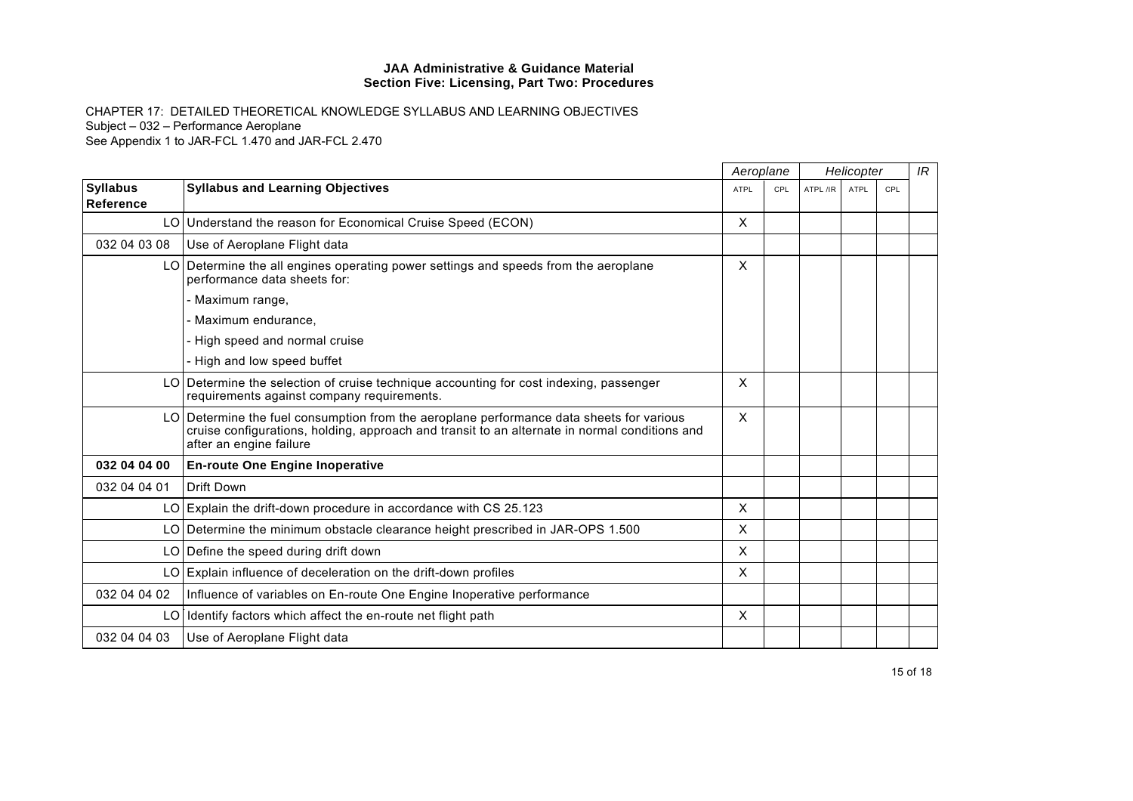|                                     |                                                                                                                                                                                                                      | Aeroplane                 | Helicopter |          |             | IR  |  |
|-------------------------------------|----------------------------------------------------------------------------------------------------------------------------------------------------------------------------------------------------------------------|---------------------------|------------|----------|-------------|-----|--|
| <b>Syllabus</b><br><b>Reference</b> | <b>Syllabus and Learning Objectives</b>                                                                                                                                                                              | <b>ATPL</b>               | CPL        | ATPL /IR | <b>ATPL</b> | CPL |  |
|                                     | LO Understand the reason for Economical Cruise Speed (ECON)                                                                                                                                                          | X                         |            |          |             |     |  |
| 032 04 03 08                        | Use of Aeroplane Flight data                                                                                                                                                                                         |                           |            |          |             |     |  |
|                                     | LO Determine the all engines operating power settings and speeds from the aeroplane<br>performance data sheets for:                                                                                                  | X                         |            |          |             |     |  |
|                                     | - Maximum range,                                                                                                                                                                                                     |                           |            |          |             |     |  |
|                                     | - Maximum endurance.                                                                                                                                                                                                 |                           |            |          |             |     |  |
|                                     | - High speed and normal cruise                                                                                                                                                                                       |                           |            |          |             |     |  |
|                                     | - High and low speed buffet                                                                                                                                                                                          |                           |            |          |             |     |  |
|                                     | LO Determine the selection of cruise technique accounting for cost indexing, passenger<br>requirements against company requirements.                                                                                 | $\boldsymbol{\mathsf{X}}$ |            |          |             |     |  |
|                                     | LO Determine the fuel consumption from the aeroplane performance data sheets for various<br>cruise configurations, holding, approach and transit to an alternate in normal conditions and<br>after an engine failure | $\sf X$                   |            |          |             |     |  |
| 032 04 04 00                        | <b>En-route One Engine Inoperative</b>                                                                                                                                                                               |                           |            |          |             |     |  |
| 032 04 04 01                        | <b>Drift Down</b>                                                                                                                                                                                                    |                           |            |          |             |     |  |
|                                     | LO Explain the drift-down procedure in accordance with CS 25.123                                                                                                                                                     | X                         |            |          |             |     |  |
|                                     | LO Determine the minimum obstacle clearance height prescribed in JAR-OPS 1.500                                                                                                                                       | X                         |            |          |             |     |  |
|                                     | LO Define the speed during drift down                                                                                                                                                                                | X                         |            |          |             |     |  |
|                                     | LO Explain influence of deceleration on the drift-down profiles                                                                                                                                                      | X                         |            |          |             |     |  |
| 032 04 04 02                        | Influence of variables on En-route One Engine Inoperative performance                                                                                                                                                |                           |            |          |             |     |  |
|                                     | LO I Identify factors which affect the en-route net flight path                                                                                                                                                      | $\times$                  |            |          |             |     |  |
| 032 04 04 03                        | Use of Aeroplane Flight data                                                                                                                                                                                         |                           |            |          |             |     |  |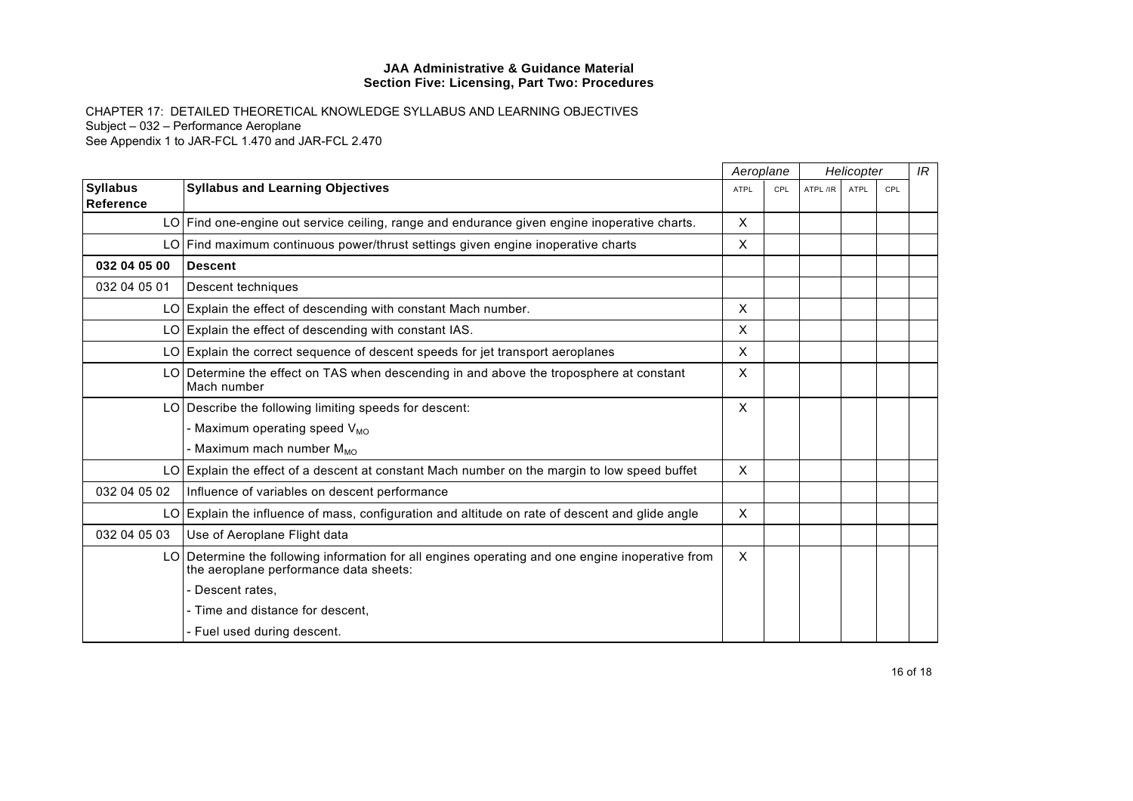|                                     |                                                                                                                                            | Aeroplane    |            | Helicopter |             |     | IR |
|-------------------------------------|--------------------------------------------------------------------------------------------------------------------------------------------|--------------|------------|------------|-------------|-----|----|
| <b>Syllabus</b><br><b>Reference</b> | <b>Syllabus and Learning Objectives</b>                                                                                                    | ATPL         | <b>CPL</b> | ATPL /IR   | <b>ATPL</b> | CPL |    |
|                                     | LO Find one-engine out service ceiling, range and endurance given engine inoperative charts.                                               | $\times$     |            |            |             |     |    |
|                                     | LO Find maximum continuous power/thrust settings given engine inoperative charts                                                           | X            |            |            |             |     |    |
| 032 04 05 00                        | <b>Descent</b>                                                                                                                             |              |            |            |             |     |    |
| 032 04 05 01                        | Descent techniques                                                                                                                         |              |            |            |             |     |    |
|                                     | LO Explain the effect of descending with constant Mach number.                                                                             | $\mathsf{X}$ |            |            |             |     |    |
|                                     | LO Explain the effect of descending with constant IAS.                                                                                     | X            |            |            |             |     |    |
|                                     | LO Explain the correct sequence of descent speeds for jet transport aeroplanes                                                             | X            |            |            |             |     |    |
|                                     | LO Determine the effect on TAS when descending in and above the troposphere at constant<br>Mach number                                     | $\times$     |            |            |             |     |    |
|                                     | LO Describe the following limiting speeds for descent:                                                                                     | X            |            |            |             |     |    |
|                                     | - Maximum operating speed V <sub>MO</sub>                                                                                                  |              |            |            |             |     |    |
|                                     | - Maximum mach number M <sub>MO</sub>                                                                                                      |              |            |            |             |     |    |
|                                     | LO Explain the effect of a descent at constant Mach number on the margin to low speed buffet                                               | $\times$     |            |            |             |     |    |
| 032 04 05 02                        | Influence of variables on descent performance                                                                                              |              |            |            |             |     |    |
|                                     | LO Explain the influence of mass, configuration and altitude on rate of descent and glide angle                                            | $\sf X$      |            |            |             |     |    |
| 032 04 05 03                        | Use of Aeroplane Flight data                                                                                                               |              |            |            |             |     |    |
|                                     | LO Determine the following information for all engines operating and one engine inoperative from<br>the aeroplane performance data sheets: | $\times$     |            |            |             |     |    |
|                                     | Descent rates.                                                                                                                             |              |            |            |             |     |    |
|                                     | - Time and distance for descent.                                                                                                           |              |            |            |             |     |    |
|                                     | Fuel used during descent.                                                                                                                  |              |            |            |             |     |    |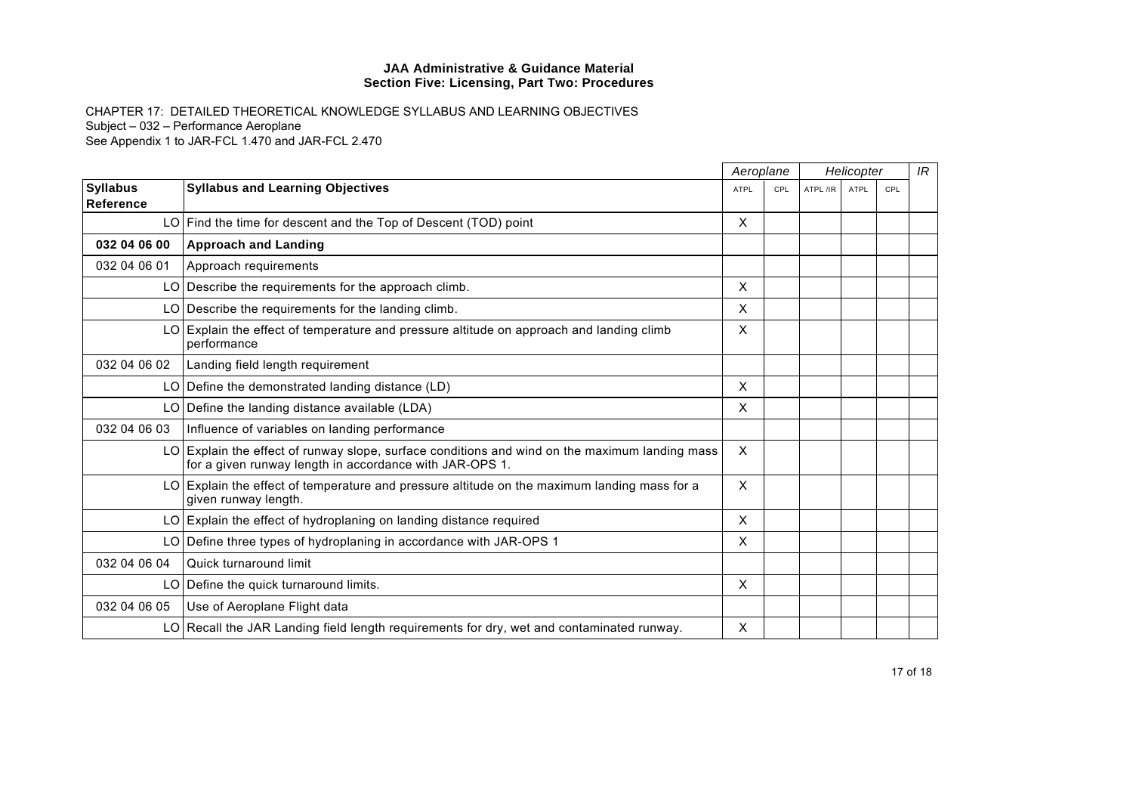|                              |                                                                                                                                                           |                           | Aeroplane | Helicopter |      |     | IR |
|------------------------------|-----------------------------------------------------------------------------------------------------------------------------------------------------------|---------------------------|-----------|------------|------|-----|----|
| <b>Syllabus</b><br>Reference | <b>Syllabus and Learning Objectives</b>                                                                                                                   | <b>ATPL</b>               | CPL       | ATPL /IR   | ATPL | CPL |    |
|                              | LO   Find the time for descent and the Top of Descent (TOD) point                                                                                         | X                         |           |            |      |     |    |
| 032 04 06 00                 | <b>Approach and Landing</b>                                                                                                                               |                           |           |            |      |     |    |
| 032 04 06 01                 | Approach requirements                                                                                                                                     |                           |           |            |      |     |    |
|                              | LO Describe the requirements for the approach climb.                                                                                                      | $\times$                  |           |            |      |     |    |
|                              | LO Describe the requirements for the landing climb.                                                                                                       | X                         |           |            |      |     |    |
|                              | LO Explain the effect of temperature and pressure altitude on approach and landing climb<br>performance                                                   | $\boldsymbol{\mathsf{X}}$ |           |            |      |     |    |
| 032 04 06 02                 | Landing field length requirement                                                                                                                          |                           |           |            |      |     |    |
|                              | LO Define the demonstrated landing distance $(LD)$                                                                                                        | $\boldsymbol{\mathsf{X}}$ |           |            |      |     |    |
|                              | LO Define the landing distance available (LDA)                                                                                                            | $\boldsymbol{\mathsf{X}}$ |           |            |      |     |    |
| 032 04 06 03                 | Influence of variables on landing performance                                                                                                             |                           |           |            |      |     |    |
|                              | LO Explain the effect of runway slope, surface conditions and wind on the maximum landing mass<br>for a given runway length in accordance with JAR-OPS 1. | $\times$                  |           |            |      |     |    |
|                              | LO Explain the effect of temperature and pressure altitude on the maximum landing mass for a<br>given runway length.                                      | $\sf X$                   |           |            |      |     |    |
|                              | LO Explain the effect of hydroplaning on landing distance required                                                                                        | X                         |           |            |      |     |    |
|                              | LO Define three types of hydroplaning in accordance with JAR-OPS 1                                                                                        | X                         |           |            |      |     |    |
| 032 04 06 04                 | Quick turnaround limit                                                                                                                                    |                           |           |            |      |     |    |
|                              | LO   Define the quick turnaround limits.                                                                                                                  | X                         |           |            |      |     |    |
| 032 04 06 05                 | Use of Aeroplane Flight data                                                                                                                              |                           |           |            |      |     |    |
|                              | LO Recall the JAR Landing field length requirements for dry, wet and contaminated runway.                                                                 | X                         |           |            |      |     |    |